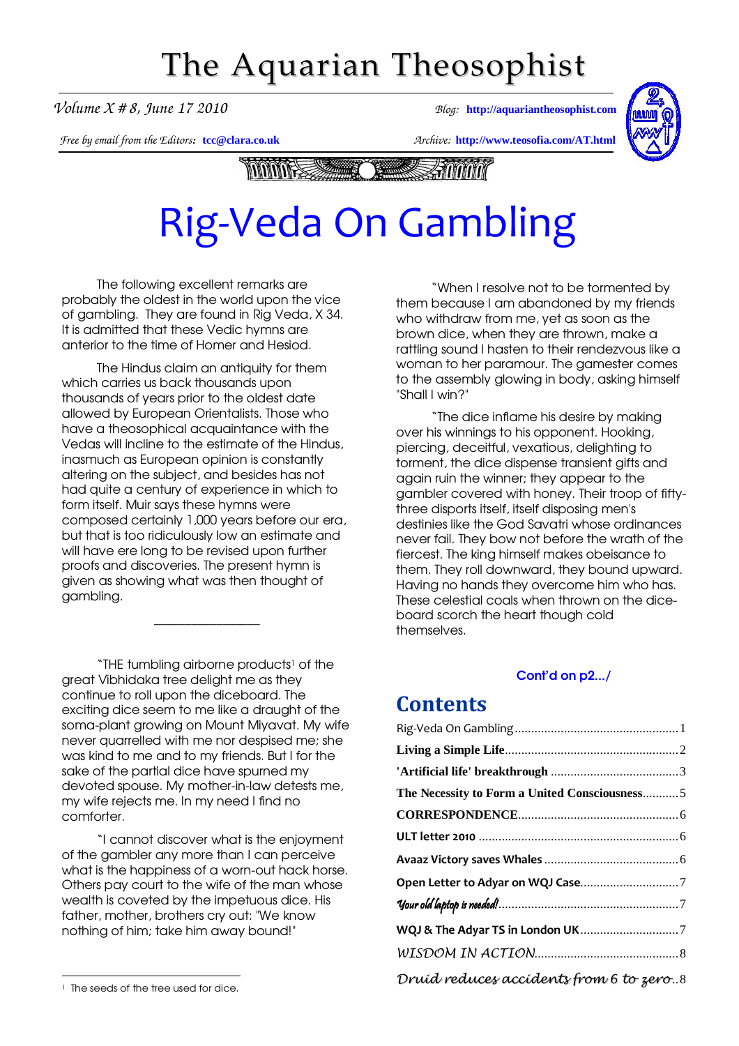# The Aquarian Theosophist

*Volume X # 8, June 17 2010 Blog:* **[http://aquariantheosophist.com](http://aquariantheosophist.com/)**

*Free by email from the Editors:* **[tcc@clara.co.uk](mailto:tcc@clara.co.uk)** *Archive:* **<http://www.teosofia.com/AT.html>**



**Andrin MANASSAME The Contract of the Contract of the Contract of The Contract of The Contract of The Contract of The Contract o** 

# Rig-Veda On Gambling

The following excellent remarks are probably the oldest in the world upon the vice of gambling. They are found in Rig Veda, X 34. It is admitted that these Vedic hymns are anterior to the time of Homer and Hesiod.

The Hindus claim an antiquity for them which carries us back thousands upon thousands of years prior to the oldest date allowed by European Orientalists. Those who have a theosophical acquaintance with the Vedas will incline to the estimate of the Hindus, inasmuch as European opinion is constantly altering on the subject, and besides has not had quite a century of experience in which to form itself. Muir says these hymns were composed certainly 1,000 years before our era, but that is too ridiculously low an estimate and will have ere long to be revised upon further proofs and discoveries. The present hymn is given as showing what was then thought of gambling.

"THE tumbling airborne products<sup>1</sup> of the great Vibhidaka tree delight me as they continue to roll upon the diceboard. The exciting dice seem to me like a draught of the soma-plant growing on Mount Miyavat. My wife never quarrelled with me nor despised me; she was kind to me and to my friends. But I for the sake of the partial dice have spurned my devoted spouse. My mother-in-law detests me, my wife rejects me. In my need I find no comforter.

\_\_\_\_\_\_\_\_\_\_\_\_\_\_\_\_\_

"I cannot discover what is the enjoyment of the gambler any more than I can perceive what is the happiness of a worn-out hack horse. Others pay court to the wife of the man whose wealth is coveted by the impetuous dice. His father, mother, brothers cry out: "We know nothing of him; take him away bound!"

<sup>1</sup> The seeds of the tree used for dice.

-

"When I resolve not to be tormented by them because I am abandoned by my friends who withdraw from me, yet as soon as the brown dice, when they are thrown, make a rattling sound I hasten to their rendezvous like a woman to her paramour. The gamester comes to the assembly glowing in body, asking himself "Shall I win?"

"The dice inflame his desire by making over his winnings to his opponent. Hooking, piercing, deceitful, vexatious, delighting to torment, the dice dispense transient gifts and again ruin the winner; they appear to the gambler covered with honey. Their troop of fiftythree disports itself, itself disposing men's destinies like the God Savatri whose ordinances never fail. They bow not before the wrath of the fiercest. The king himself makes obeisance to them. They roll downward, they bound upward. Having no hands they overcome him who has. These celestial coals when thrown on the diceboard scorch the heart though cold themselves.

#### [Cont'd on p2.../](#page-1-0)

### **Contents**

| The Necessity to Form a United Consciousness5 |
|-----------------------------------------------|
|                                               |
|                                               |
|                                               |
|                                               |
|                                               |
|                                               |
|                                               |
| Druíd reduces accidents from 6 to zero8       |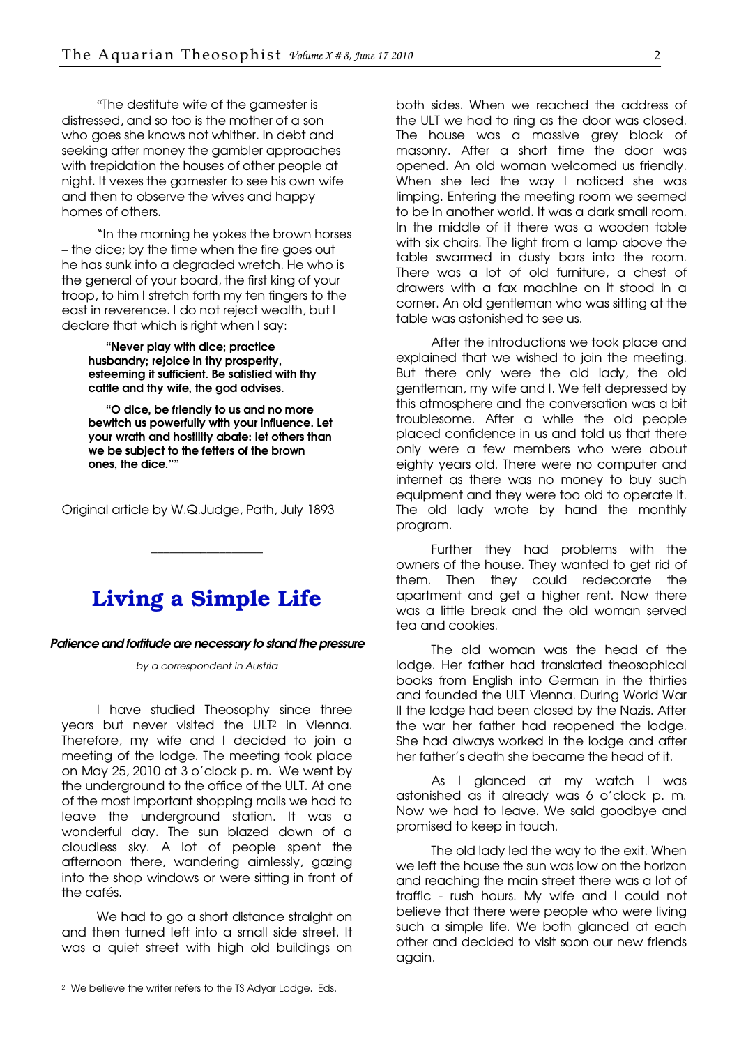<span id="page-1-0"></span>"The destitute wife of the gamester is distressed, and so too is the mother of a son who goes she knows not whither. In debt and seeking after money the gambler approaches with trepidation the houses of other people at night. It vexes the gamester to see his own wife and then to observe the wives and happy homes of others.

"In the morning he yokes the brown horses – the dice; by the time when the fire goes out he has sunk into a degraded wretch. He who is the general of your board, the first king of your troop, to him I stretch forth my ten fingers to the east in reverence. I do not reject wealth, but I declare that which is right when I say:

"Never play with dice; practice husbandry; rejoice in thy prosperity, esteeming it sufficient. Be satisfied with thy cattle and thy wife, the god advises.

"O dice, be friendly to us and no more bewitch us powerfully with your influence. Let your wrath and hostility abate: let others than we be subject to the fetters of the brown ones, the dice.""

Original article by W.Q.Judge, Path, July 1893

### Living a Simple Life

\_\_\_\_\_\_\_\_\_\_\_\_\_\_\_\_\_\_

#### Patience and fortitude are necessary to stand the pressure

by a correspondent in Austria

I have studied Theosophy since three years but never visited the ULT2 in Vienna. Therefore, my wife and I decided to join a meeting of the lodge. The meeting took place on May 25, 2010 at 3 o'clock p. m. We went by the underground to the office of the ULT. At one of the most important shopping malls we had to leave the underground station. It was a wonderful day. The sun blazed down of a cloudless sky. A lot of people spent the afternoon there, wandering aimlessly, gazing into the shop windows or were sitting in front of the cafés.

We had to go a short distance straight on and then turned left into a small side street. It was a quiet street with high old buildings on

-

both sides. When we reached the address of the ULT we had to ring as the door was closed. The house was a massive arey block of masonry. After a short time the door was opened. An old woman welcomed us friendly. When she led the way I noticed she was limping. Entering the meeting room we seemed to be in another world. It was a dark small room. In the middle of it there was a wooden table with six chairs. The light from a lamp above the table swarmed in dusty bars into the room. There was a lot of old furniture, a chest of drawers with a fax machine on it stood in a corner. An old gentleman who was sitting at the table was astonished to see us.

After the introductions we took place and explained that we wished to join the meeting. But there only were the old lady, the old gentleman, my wife and I. We felt depressed by this atmosphere and the conversation was a bit troublesome. After a while the old people placed confidence in us and told us that there only were a few members who were about eighty years old. There were no computer and internet as there was no money to buy such equipment and they were too old to operate it. The old lady wrote by hand the monthly program.

Further they had problems with the owners of the house. They wanted to get rid of them. Then they could redecorate the apartment and get a higher rent. Now there was a little break and the old woman served tea and cookies.

The old woman was the head of the lodge. Her father had translated theosophical books from English into German in the thirties and founded the ULT Vienna. During World War II the lodge had been closed by the Nazis. After the war her father had reopened the lodge. She had always worked in the lodge and after her father's death she became the head of it.

As I glanced at my watch I was astonished as it already was 6 o'clock p. m. Now we had to leave. We said goodbye and promised to keep in touch.

The old lady led the way to the exit. When we left the house the sun was low on the horizon and reaching the main street there was a lot of traffic - rush hours. My wife and I could not believe that there were people who were living such a simple life. We both glanced at each other and decided to visit soon our new friends again.

<sup>2</sup> We believe the writer refers to the TS Adyar Lodge. Eds.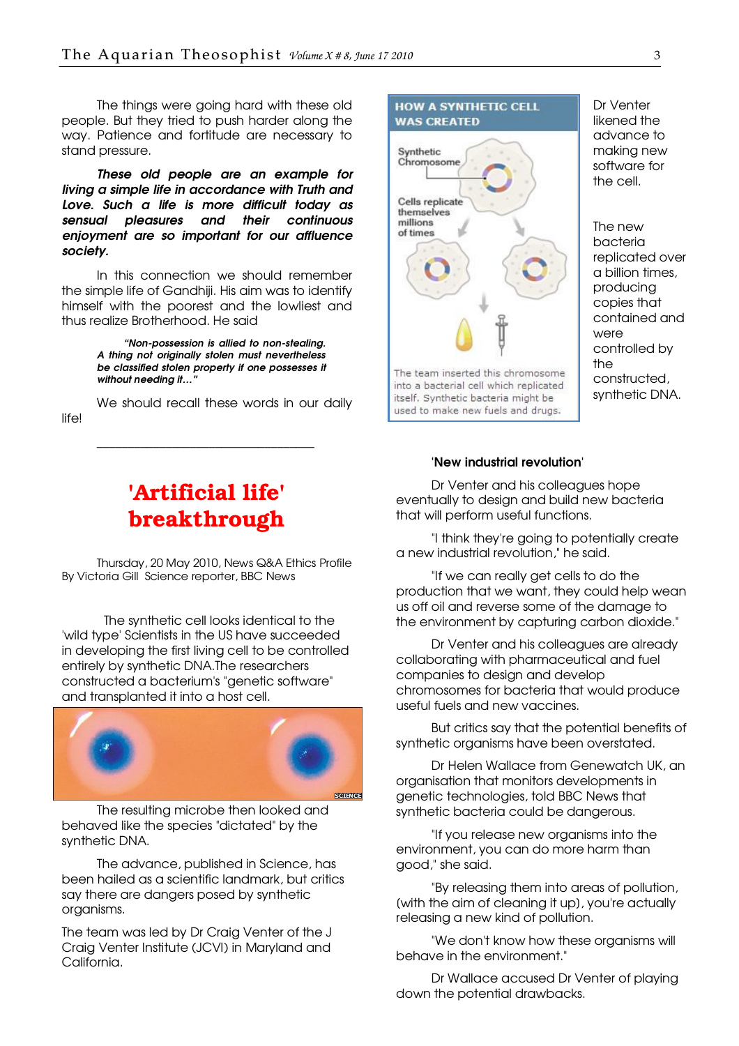<span id="page-2-0"></span>The things were going hard with these old people. But they tried to push harder along the way. Patience and fortitude are necessary to stand pressure.

These old people are an example for living a simple life in accordance with Truth and Love. Such a life is more difficult today as sensual pleasures and their continuous enjoyment are so important for our affluence society.

In this connection we should remember the simple life of Gandhiji. His aim was to identify himself with the poorest and the lowliest and thus realize Brotherhood. He said

> "Non-possession is allied to non-stealing. A thing not originally stolen must nevertheless be classified stolen property if one possesses it without needing it..."

We should recall these words in our daily life!

\_\_\_\_\_\_\_\_\_\_\_\_\_\_\_\_\_\_\_\_\_\_\_\_\_\_\_\_\_\_\_\_\_\_\_

## 'Artificial life' breakthrough

Thursday, 20 May 2010, News Q&A Ethics Profile By Victoria Gill Science reporter, BBC News

 The synthetic cell looks identical to the 'wild type' Scientists in the US have succeeded in developing the first living cell to be controlled entirely by synthetic DNA.The researchers constructed a bacterium's "genetic software" and transplanted it into a host cell.



The resulting microbe then looked and behaved like the species "dictated" by the synthetic DNA.

The advance, published in Science, has been hailed as a scientific landmark, but critics say there are dangers posed by synthetic organisms.

The team was led by Dr Craig Venter of the J Craig Venter Institute (JCVI) in Maryland and California.



Dr Venter likened the advance to making new software for the cell.

The new bacteria replicated over a billion times, producing copies that contained and were controlled by the constructed, synthetic DNA.

#### 'New industrial revolution'

Dr Venter and his colleagues hope eventually to design and build new bacteria that will perform useful functions.

"I think they're going to potentially create a new industrial revolution," he said.

"If we can really get cells to do the production that we want, they could help wean us off oil and reverse some of the damage to the environment by capturing carbon dioxide."

Dr Venter and his colleagues are already collaborating with pharmaceutical and fuel companies to design and develop chromosomes for bacteria that would produce useful fuels and new vaccines.

But critics say that the potential benefits of synthetic organisms have been overstated.

Dr Helen Wallace from Genewatch UK, an organisation that monitors developments in genetic technologies, told BBC News that synthetic bacteria could be dangerous.

"If you release new organisms into the environment, you can do more harm than good," she said.

"By releasing them into areas of pollution, [with the aim of cleaning it up], you're actually releasing a new kind of pollution.

"We don't know how these organisms will behave in the environment."

Dr Wallace accused Dr Venter of playing down the potential drawbacks.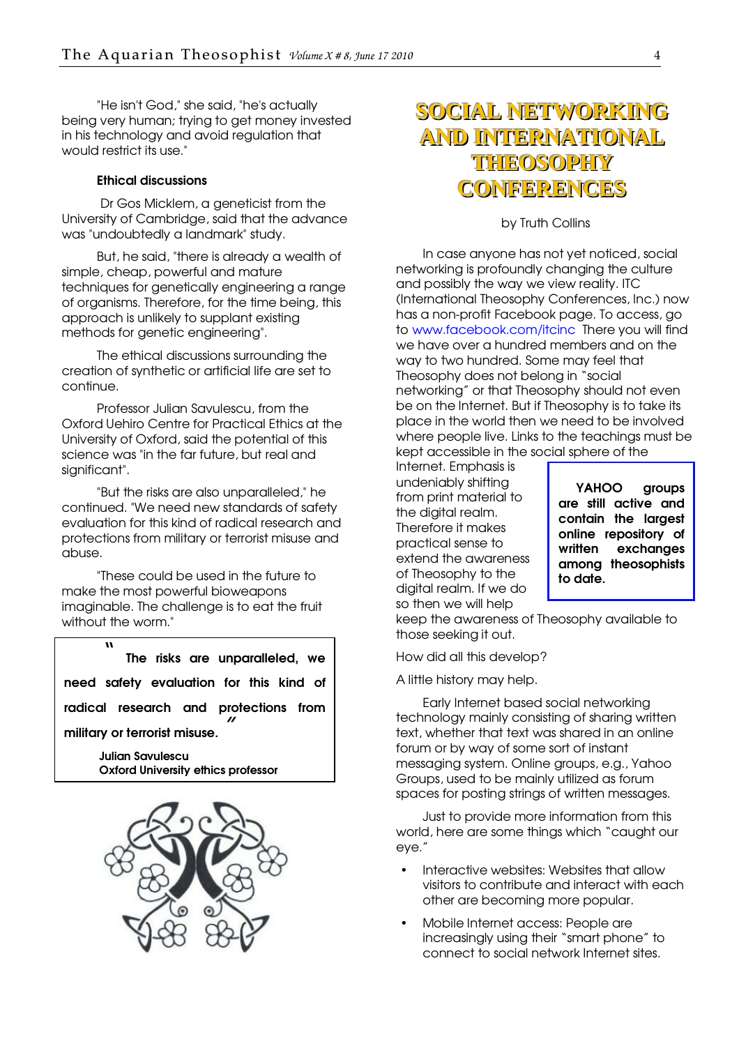"He isn't God," she said, "he's actually being very human; trying to get money invested in his technology and avoid regulation that would restrict its use."

#### Ethical discussions

 Dr Gos Micklem, a geneticist from the University of Cambridge, said that the advance was "undoubtedly a landmark" study.

But, he said, "there is already a wealth of simple, cheap, powerful and mature techniques for genetically engineering a range of organisms. Therefore, for the time being, this approach is unlikely to supplant existing methods for genetic engineering".

The ethical discussions surrounding the creation of synthetic or artificial life are set to continue.

Professor Julian Savulescu, from the Oxford Uehiro Centre for Practical Ethics at the University of Oxford, said the potential of this science was "in the far future, but real and sianificant".

"But the risks are also unparalleled," he continued. "We need new standards of safety evaluation for this kind of radical research and protections from military or terrorist misuse and abuse.

"These could be used in the future to make the most powerful bioweapons imaginable. The challenge is to eat the fruit without the worm."

" The risks are unparalleled, we need safety evaluation for this kind of radical research and protections from military or terrorist misuse.

> Julian Savulescu Oxford University ethics professor



## **SOCIAL NETWORKING AND INTERNATIONAL THEOSOPHY CONFERENCES**

by Truth Collins

In case anyone has not yet noticed, social networking is profoundly changing the culture and possibly the way we view reality. ITC (International Theosophy Conferences, Inc.) now has a non-profit Facebook page. To access, go to [www.facebook.com/itcinc There you will find](http://www.facebook.com/itcinc)  we have over a hundred members and on the way to two hundred. Some may feel that Theosophy does not belong in "social networking" or that Theosophy should not even be on the Internet. But if Theosophy is to take its place in the world then we need to be involved where people live. Links to the teachings must be kept accessible in the social sphere of the

Internet. Emphasis is undeniably shifting from print material to the digital realm. Therefore it makes practical sense to extend the awareness of Theosophy to the digital realm. If we do so then we will help

YAHOO groups are still active and contain the largest online repository of written exchanges among theosophists to date.

keep the awareness of Theosophy available to those seeking it out.

How did all this develop?

A little history may help.

Early Internet based social networking technology mainly consisting of sharing written text, whether that text was shared in an online forum or by way of some sort of instant messaging system. Online groups, e.g., Yahoo Groups, used to be mainly utilized as forum spaces for posting strings of written messages.

Just to provide more information from this world, here are some things which "caught our eye."

- Interactive websites: Websites that allow visitors to contribute and interact with each other are becoming more popular.
- Mobile Internet access: People are increasingly using their "smart phone" to connect to social network Internet sites.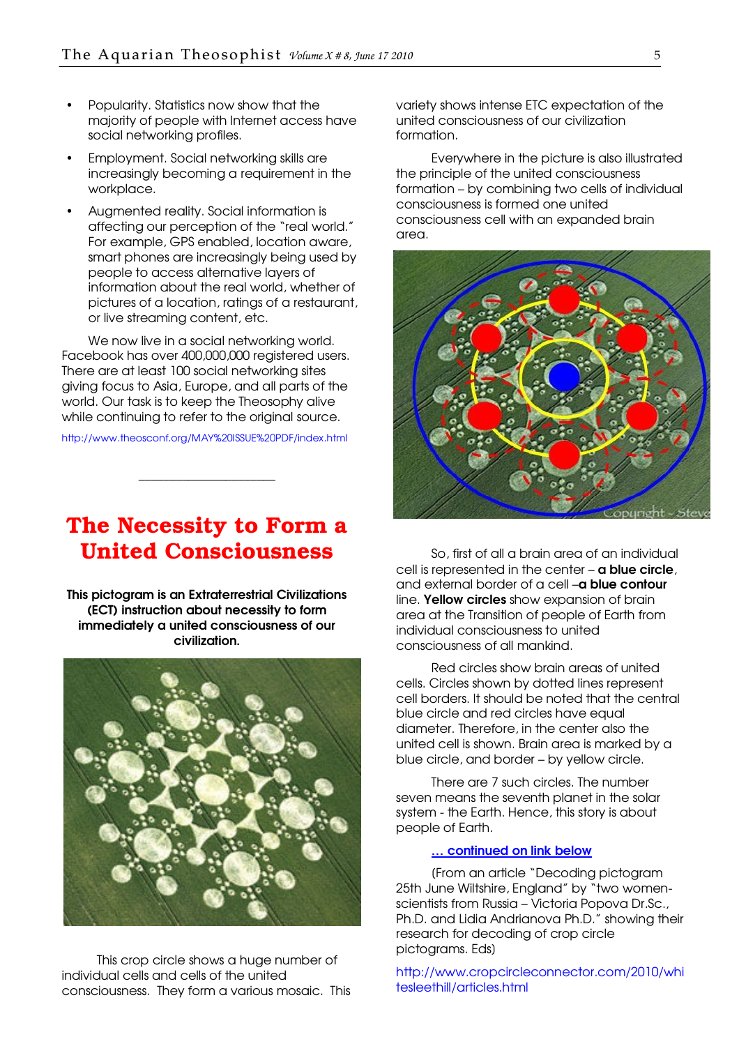- <span id="page-4-0"></span>• Popularity. Statistics now show that the majority of people with Internet access have social networking profiles.
- Employment. Social networking skills are increasingly becoming a requirement in the workplace.
- Augmented reality. Social information is affecting our perception of the "real world." For example, GPS enabled, location aware, smart phones are increasingly being used by people to access alternative layers of information about the real world, whether of pictures of a location, ratings of a restaurant, or live streaming content, etc.

We now live in a social networking world. Facebook has over 400,000,000 registered users. There are at least 100 social networking sites giving focus to Asia, Europe, and all parts of the world. Our task is to keep the Theosophy alive while continuing to refer to the original source.

[http://www.theosconf.org/MAY%20ISSUE%20PDF/index.html](http://www.theosconf.org/MAY ISSUE PDF/index.html)

\_\_\_\_\_\_\_\_\_\_\_\_\_\_\_\_\_\_\_\_\_\_

### The Necessity to Form a United Consciousness

This pictogram is an Extraterrestrial Civilizations (ECT) instruction about necessity to form immediately a united consciousness of our civilization.



This crop circle shows a huge number of individual cells and cells of the united consciousness. They form a various mosaic. This variety shows intense ETC expectation of the united consciousness of our civilization formation.

Everywhere in the picture is also illustrated the principle of the united consciousness formation – by combining two cells of individual consciousness is formed one united consciousness cell with an expanded brain area.



So, first of all a brain area of an individual cell is represented in the center – **a blue circle**, and external border of a cell -**a blue contour** line. Yellow circles show expansion of brain area at the Transition of people of Earth from individual consciousness to united consciousness of all mankind.

Red circles show brain areas of united cells. Circles shown by dotted lines represent cell borders. It should be noted that the central blue circle and red circles have equal diameter. Therefore, in the center also the united cell is shown. Brain area is marked by a blue circle, and border – by yellow circle.

There are 7 such circles. The number seven means the seventh planet in the solar system - the Earth. Hence, this story is about people of Earth.

#### ... continued on link below

[From an article "Decoding pictogram 25th June Wiltshire, England" by "two womenscientists from Russia – Victoria Popova Dr.Sc., Ph.D. and Lidia Andrianova Ph.D." showing their research for decoding of crop circle pictograms. Eds]

[http://www.cropcircleconnector.com/2010/wh](http://www.cropcircleconnector.com/2010/whitesleethill/articles.html)i tesleethill/articles.html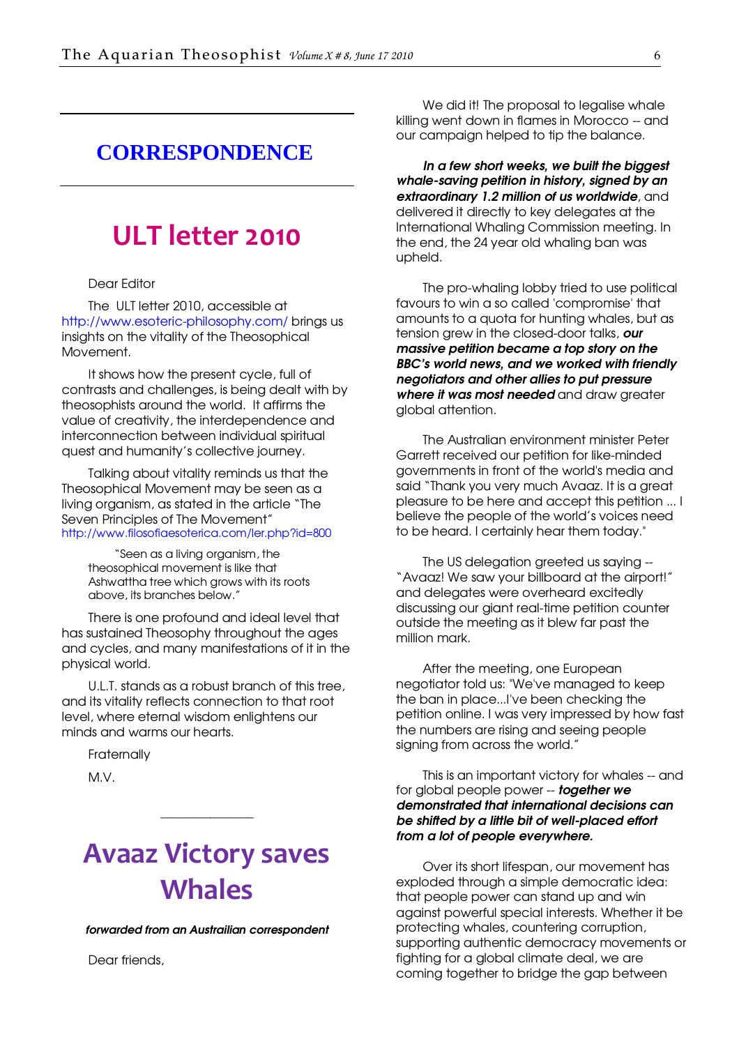### <span id="page-5-0"></span>**CORRESPONDENCE**

## ULT letter 2010

#### Dear Editor

The ULT letter 2010, accessible at [http://www.esoteric-philosophy.com/ brings us](http://www.esoteric-philosophy.com/)  insights on the vitality of the Theosophical Movement.

It shows how the present cycle, full of contrasts and challenges, is being dealt with by theosophists around the world. It affirms the value of creativity, the interdependence and interconnection between individual spiritual quest and humanity's collective journey.

Talking about vitality reminds us that the Theosophical Movement may be seen as a living organism, as stated in the article "The Seven Principles of The Movement" <http://www.filosofiaesoterica.com/ler.php?id=800>

"Seen as a living organism, the theosophical movement is like that Ashwattha tree which grows with its roots above, its branches below."

There is one profound and ideal level that has sustained Theosophy throughout the ages and cycles, and many manifestations of it in the physical world.

U.L.T. stands as a robust branch of this tree, and its vitality reflects connection to that root level, where eternal wisdom enlightens our minds and warms our hearts.

**Fraternally** 

M.V.

## Avaaz Victory saves **Whales**

\_\_\_\_\_\_\_\_\_\_\_\_\_\_\_

forwarded from an Austrailian correspondent

Dear friends,

We did it! The proposal to legalise whale killing went down in flames in Morocco -- and our campaign helped to tip the balance.

In a few short weeks, we built the biggest whale-saving petition in history, signed by an extraordinary 1.2 million of us worldwide, and delivered it directly to key delegates at the International Whaling Commission meeting. In the end, the 24 year old whaling ban was upheld.

The pro-whaling lobby tried to use political favours to win a so called 'compromise' that amounts to a quota for hunting whales, but as tension grew in the closed-door talks, our massive petition became a top story on the BBC's world news, and we worked with friendly negotiators and other allies to put pressure where it was most needed and draw greater global attention.

The Australian environment minister Peter Garrett received our petition for like-minded governments in front of the world's media and said "Thank you very much Avaaz. It is a great pleasure to be here and accept this petition ... I believe the people of the world's voices need to be heard. I certainly hear them today."

The US delegation greeted us saying -- "Avaaz! We saw your billboard at the airport!" and delegates were overheard excitedly discussing our giant real-time petition counter outside the meeting as it blew far past the million mark.

After the meeting, one European negotiator told us: "We've managed to keep the ban in place...I've been checking the petition online. I was very impressed by how fast the numbers are rising and seeing people signing from across the world."

This is an important victory for whales -- and for global people power -- **together we** demonstrated that international decisions can be shifted by a little bit of well-placed effort from a lot of people everywhere.

Over its short lifespan, our movement has exploded through a simple democratic idea: that people power can stand up and win against powerful special interests. Whether it be protecting whales, countering corruption, supporting authentic democracy movements or fighting for a global climate deal, we are coming together to bridge the gap between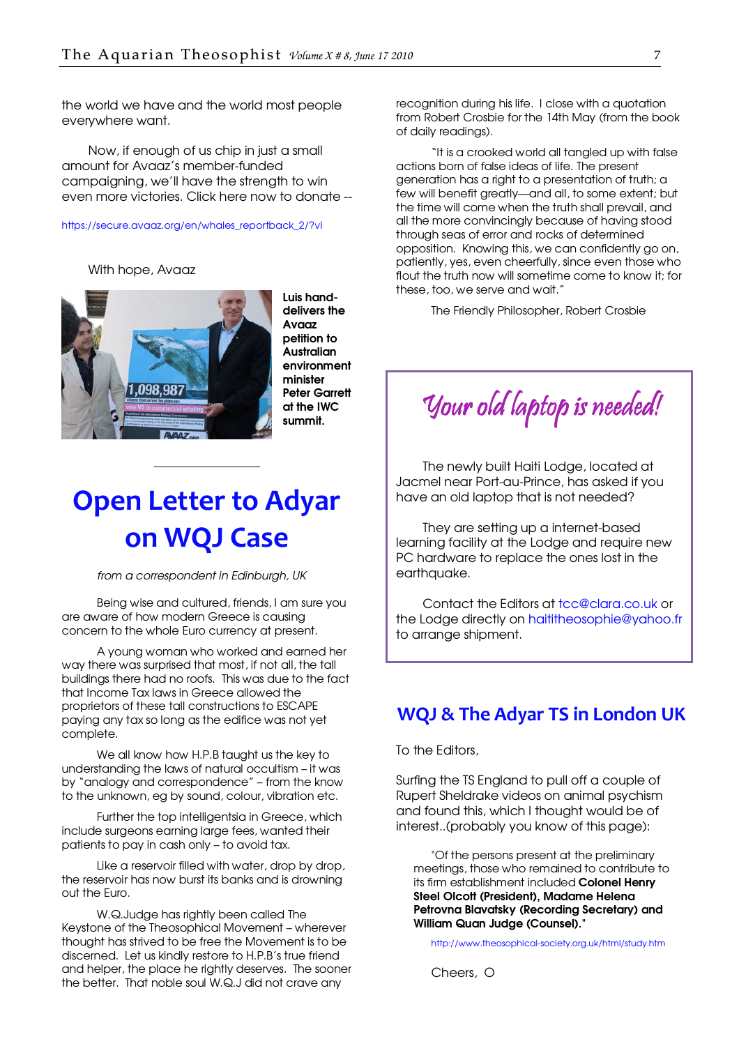<span id="page-6-0"></span>the world we have and the world most people everywhere want.

Now, if enough of us chip in just a small amount for Avaaz's member-funded campaigning, we'll have the strength to win even more victories. Click here now to donate --

#### [https://secure.avaaz.org/en/whales\\_reportback\\_2/?vl](https://secure.avaaz.org/en/whales_reportback_2/?vl)

With hope, Avaaz



Luis handdelivers the Avaaz petition to **Australian** environment minister Peter Garrett at the IWC summit.

## Open Letter to Adyar on WQJ Case

\_\_\_\_\_\_\_\_\_\_\_\_\_\_\_\_\_\_\_

from a correspondent in Edinburgh, UK

Being wise and cultured, friends, I am sure you are aware of how modern Greece is causing concern to the whole Euro currency at present.

A young woman who worked and earned her way there was surprised that most, if not all, the tall buildings there had no roofs. This was due to the fact that Income Tax laws in Greece allowed the proprietors of these tall constructions to ESCAPE paying any tax so long as the edifice was not yet complete.

We all know how H.P.B taught us the key to understanding the laws of natural occultism – it was by "analogy and correspondence" – from the know to the unknown, eg by sound, colour, vibration etc.

Further the top intelligentsia in Greece, which include surgeons earning large fees, wanted their patients to pay in cash only – to avoid tax.

Like a reservoir filled with water, drop by drop, the reservoir has now burst its banks and is drowning out the Euro.

W.Q.Judge has rightly been called The Keystone of the Theosophical Movement – wherever thought has strived to be free the Movement is to be discerned. Let us kindly restore to H.P.B's true friend and helper, the place he rightly deserves. The sooner the better. That noble soul W.Q.J did not crave any

recognition during his life. I close with a quotation from Robert Crosbie for the 14th May (from the book of daily readings).

"It is a crooked world all tangled up with false actions born of false ideas of life. The present generation has a right to a presentation of truth; a few will benefit greatly—and all, to some extent; but the time will come when the truth shall prevail, and all the more convincingly because of having stood through seas of error and rocks of determined opposition. Knowing this, we can confidently go on, patiently, yes, even cheerfully, since even those who flout the truth now will sometime come to know it; for these, too, we serve and wait."

The Friendly Philosopher, Robert Crosbie

Your old laptop is needed!

The newly built Haiti Lodge, located at Jacmel near Port-au-Prince, has asked if you have an old laptop that is not needed?

They are setting up a internet-based learning facility at the Lodge and require new PC hardware to replace the ones lost in the earthauake.

Contact the Editors at [tcc@clara.co.uk or](mailto:tcc@clara.co.uk)  the Lodge directly on [haititheosophie@yahoo.fr](mailto:haititheosophie@yahoo.fr) to arrange shipment.

#### WQJ & The Adyar TS in London UK

To the Editors,

Surfing the TS England to pull off a couple of Rupert Sheldrake videos on animal psychism and found this, which I thought would be of interest..(probably you know of this page):

"Of the persons present at the preliminary meetings, those who remained to contribute to its firm establishment included Colonel Henry Steel Olcott (President), Madame Helena Petrovna Blavatsky (Recording Secretary) and William Quan Judge (Counsel)."

<http://www.theosophical-society.org.uk/html/study.htm>

Cheers, O